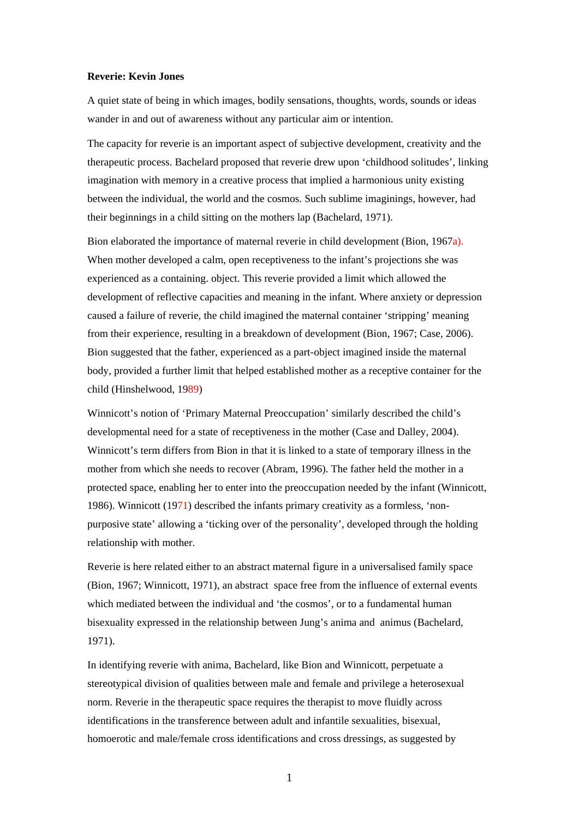## **Reverie: Kevin Jones**

A quiet state of being in which images, bodily sensations, thoughts, words, sounds or ideas wander in and out of awareness without any particular aim or intention.

The capacity for reverie is an important aspect of subjective development, creativity and the therapeutic process. Bachelard proposed that reverie drew upon 'childhood solitudes', linking imagination with memory in a creative process that implied a harmonious unity existing between the individual, the world and the cosmos. Such sublime imaginings, however, had their beginnings in a child sitting on the mothers lap (Bachelard, 1971).

Bion elaborated the importance of maternal reverie in child development (Bion, 1967a). When mother developed a calm, open receptiveness to the infant's projections she was experienced as a containing. object. This reverie provided a limit which allowed the development of reflective capacities and meaning in the infant. Where anxiety or depression caused a failure of reverie, the child imagined the maternal container 'stripping' meaning from their experience, resulting in a breakdown of development (Bion, 1967; Case, 2006). Bion suggested that the father, experienced as a part-object imagined inside the maternal body, provided a further limit that helped established mother as a receptive container for the child (Hinshelwood, 1989)

Winnicott's notion of 'Primary Maternal Preoccupation' similarly described the child's developmental need for a state of receptiveness in the mother (Case and Dalley, 2004). Winnicott's term differs from Bion in that it is linked to a state of temporary illness in the mother from which she needs to recover (Abram, 1996). The father held the mother in a protected space, enabling her to enter into the preoccupation needed by the infant (Winnicott, 1986). Winnicott (1971) described the infants primary creativity as a formless, 'nonpurposive state' allowing a 'ticking over of the personality', developed through the holding relationship with mother.

Reverie is here related either to an abstract maternal figure in a universalised family space (Bion, 1967; Winnicott, 1971), an abstract space free from the influence of external events which mediated between the individual and 'the cosmos', or to a fundamental human bisexuality expressed in the relationship between Jung's anima and animus (Bachelard, 1971).

In identifying reverie with anima, Bachelard, like Bion and Winnicott, perpetuate a stereotypical division of qualities between male and female and privilege a heterosexual norm. Reverie in the therapeutic space requires the therapist to move fluidly across identifications in the transference between adult and infantile sexualities, bisexual, homoerotic and male/female cross identifications and cross dressings, as suggested by

1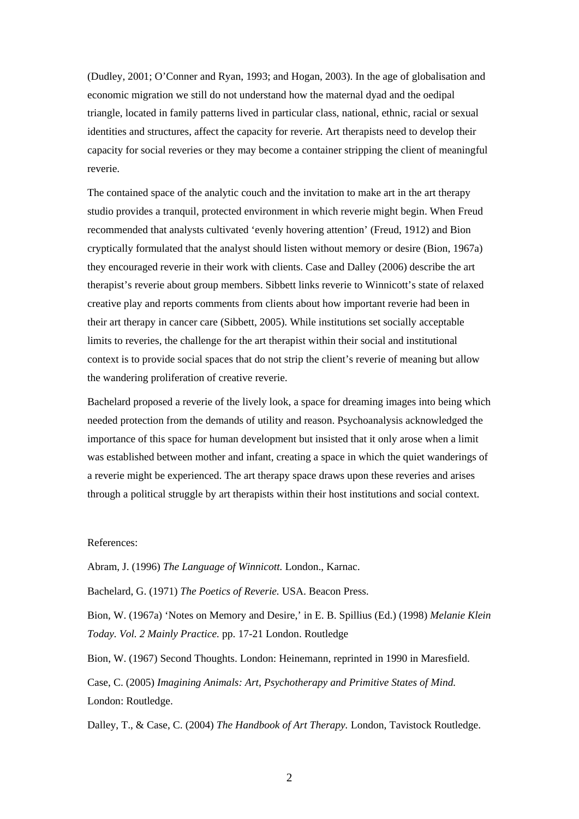(Dudley, 2001; O'Conner and Ryan, 1993; and Hogan, 2003). In the age of globalisation and economic migration we still do not understand how the maternal dyad and the oedipal triangle, located in family patterns lived in particular class, national, ethnic, racial or sexual identities and structures, affect the capacity for reverie. Art therapists need to develop their capacity for social reveries or they may become a container stripping the client of meaningful reverie.

The contained space of the analytic couch and the invitation to make art in the art therapy studio provides a tranquil, protected environment in which reverie might begin. When Freud recommended that analysts cultivated 'evenly hovering attention' (Freud, 1912) and Bion cryptically formulated that the analyst should listen without memory or desire (Bion, 1967a) they encouraged reverie in their work with clients. Case and Dalley (2006) describe the art therapist's reverie about group members. Sibbett links reverie to Winnicott's state of relaxed creative play and reports comments from clients about how important reverie had been in their art therapy in cancer care (Sibbett, 2005). While institutions set socially acceptable limits to reveries, the challenge for the art therapist within their social and institutional context is to provide social spaces that do not strip the client's reverie of meaning but allow the wandering proliferation of creative reverie.

Bachelard proposed a reverie of the lively look, a space for dreaming images into being which needed protection from the demands of utility and reason. Psychoanalysis acknowledged the importance of this space for human development but insisted that it only arose when a limit was established between mother and infant, creating a space in which the quiet wanderings of a reverie might be experienced. The art therapy space draws upon these reveries and arises through a political struggle by art therapists within their host institutions and social context.

## References:

Abram, J. (1996) *The Language of Winnicott.* London., Karnac.

Bachelard, G. (1971) *The Poetics of Reverie.* USA. Beacon Press.

Bion, W. (1967a) 'Notes on Memory and Desire,' in E. B. Spillius (Ed.) (1998) *Melanie Klein Today. Vol. 2 Mainly Practice.* pp. 17-21 London. Routledge

Bion, W. (1967) Second Thoughts. London: Heinemann, reprinted in 1990 in Maresfield.

Case, C. (2005) *Imagining Animals: Art, Psychotherapy and Primitive States of Mind.* London: Routledge.

Dalley, T., & Case, C. (2004) *The Handbook of Art Therapy.* London, Tavistock Routledge.